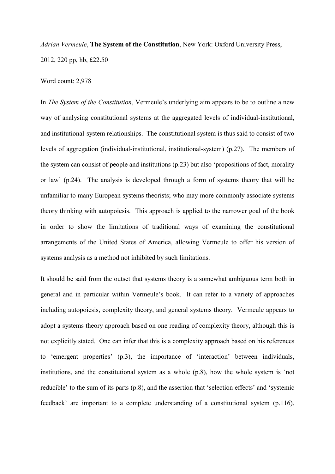*Adrian Vermeule*, **The System of the Constitution**, New York: Oxford University Press, 2012, 220 pp, hb, £22.50

Word count: 2,978

In *The System of the Constitution*, Vermeule's underlying aim appears to be to outline a new way of analysing constitutional systems at the aggregated levels of individual-institutional, and institutional-system relationships. The constitutional system is thus said to consist of two levels of aggregation (individual-institutional, institutional-system) (p.27). The members of the system can consist of people and institutions (p.23) but also 'propositions of fact, morality or law' (p.24). The analysis is developed through a form of systems theory that will be unfamiliar to many European systems theorists; who may more commonly associate systems theory thinking with autopoiesis. This approach is applied to the narrower goal of the book in order to show the limitations of traditional ways of examining the constitutional arrangements of the United States of America, allowing Vermeule to offer his version of systems analysis as a method not inhibited by such limitations.

It should be said from the outset that systems theory is a somewhat ambiguous term both in general and in particular within Vermeule's book. It can refer to a variety of approaches including autopoiesis, complexity theory, and general systems theory. Vermeule appears to adopt a systems theory approach based on one reading of complexity theory, although this is not explicitly stated. One can infer that this is a complexity approach based on his references to 'emergent properties' (p.3), the importance of 'interaction' between individuals, institutions, and the constitutional system as a whole (p.8), how the whole system is 'not reducible' to the sum of its parts (p.8), and the assertion that 'selection effects' and 'systemic feedback' are important to a complete understanding of a constitutional system (p.116).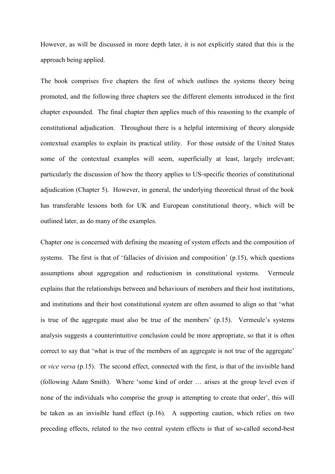However, as will be discussed in more depth later, it is not explicitly stated that this is the approach being applied.

The book comprises five chapters the first of which outlines the systems theory being promoted, and the following three chapters see the different elements introduced in the first chapter expounded. The final chapter then applies much of this reasoning to the example of constitutional adjudication. Throughout there is a helpful intermixing of theory alongside contextual examples to explain its practical utility. For those outside of the United States some of the contextual examples will seem, superficially at least, largely irrelevant; particularly the discussion of how the theory applies to US-specific theories of constitutional adjudication (Chapter 5). However, in general, the underlying theoretical thrust of the book has transferable lessons both for UK and European constitutional theory, which will be outlined later, as do many of the examples.

Chapter one is concerned with defining the meaning of system effects and the composition of systems. The first is that of 'fallacies of division and composition' (p.15), which questions assumptions about aggregation and reductionism in constitutional systems. Vermeule explains that the relationships between and behaviours of members and their host institutions, and institutions and their host constitutional system are often assumed to align so that 'what is true of the aggregate must also be true of the members' (p.15). Vermeule's systems analysis suggests a counterintuitive conclusion could be more appropriate, so that it is often correct to say that 'what is true of the members of an aggregate is not true of the aggregate' or *vice versa* (p.15). The second effect, connected with the first, is that of the invisible hand (following Adam Smith). Where 'some kind of order … arises at the group level even if none of the individuals who comprise the group is attempting to create that order', this will be taken as an invisible hand effect (p.16). A supporting caution, which relies on two preceding effects, related to the two central system effects is that of so-called second-best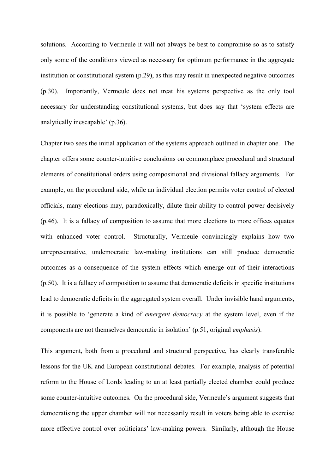solutions. According to Vermeule it will not always be best to compromise so as to satisfy only some of the conditions viewed as necessary for optimum performance in the aggregate institution or constitutional system (p.29), as this may result in unexpected negative outcomes (p.30). Importantly, Vermeule does not treat his systems perspective as the only tool necessary for understanding constitutional systems, but does say that 'system effects are analytically inescapable' (p.36).

Chapter two sees the initial application of the systems approach outlined in chapter one. The chapter offers some counter-intuitive conclusions on commonplace procedural and structural elements of constitutional orders using compositional and divisional fallacy arguments. For example, on the procedural side, while an individual election permits voter control of elected officials, many elections may, paradoxically, dilute their ability to control power decisively (p.46). It is a fallacy of composition to assume that more elections to more offices equates with enhanced voter control. Structurally, Vermeule convincingly explains how two unrepresentative, undemocratic law-making institutions can still produce democratic outcomes as a consequence of the system effects which emerge out of their interactions (p.50). It is a fallacy of composition to assume that democratic deficits in specific institutions lead to democratic deficits in the aggregated system overall. Under invisible hand arguments, it is possible to 'generate a kind of *emergent democracy* at the system level, even if the components are not themselves democratic in isolation' (p.51, original *emphasis*).

This argument, both from a procedural and structural perspective, has clearly transferable lessons for the UK and European constitutional debates. For example, analysis of potential reform to the House of Lords leading to an at least partially elected chamber could produce some counter-intuitive outcomes. On the procedural side, Vermeule's argument suggests that democratising the upper chamber will not necessarily result in voters being able to exercise more effective control over politicians' law-making powers. Similarly, although the House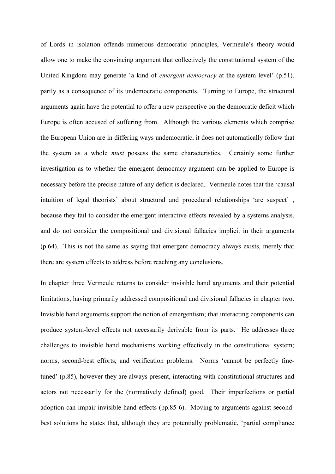of Lords in isolation offends numerous democratic principles, Vermeule's theory would allow one to make the convincing argument that collectively the constitutional system of the United Kingdom may generate 'a kind of *emergent democracy* at the system level' (p.51), partly as a consequence of its undemocratic components. Turning to Europe, the structural arguments again have the potential to offer a new perspective on the democratic deficit which Europe is often accused of suffering from. Although the various elements which comprise the European Union are in differing ways undemocratic, it does not automatically follow that the system as a whole *must* possess the same characteristics. Certainly some further investigation as to whether the emergent democracy argument can be applied to Europe is necessary before the precise nature of any deficit is declared. Vermeule notes that the 'causal intuition of legal theorists' about structural and procedural relationships 'are suspect' , because they fail to consider the emergent interactive effects revealed by a systems analysis, and do not consider the compositional and divisional fallacies implicit in their arguments (p.64). This is not the same as saying that emergent democracy always exists, merely that there are system effects to address before reaching any conclusions.

In chapter three Vermeule returns to consider invisible hand arguments and their potential limitations, having primarily addressed compositional and divisional fallacies in chapter two. Invisible hand arguments support the notion of emergentism; that interacting components can produce system-level effects not necessarily derivable from its parts. He addresses three challenges to invisible hand mechanisms working effectively in the constitutional system; norms, second-best efforts, and verification problems. Norms 'cannot be perfectly finetuned' (p.85), however they are always present, interacting with constitutional structures and actors not necessarily for the (normatively defined) good. Their imperfections or partial adoption can impair invisible hand effects (pp.85-6). Moving to arguments against secondbest solutions he states that, although they are potentially problematic, 'partial compliance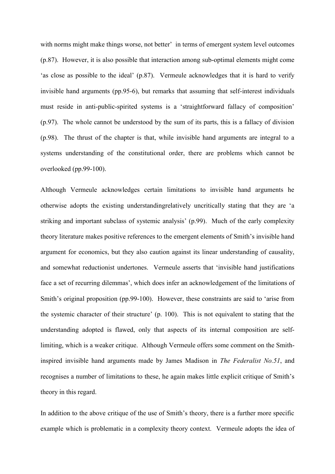with norms might make things worse, not better' in terms of emergent system level outcomes (p.87). However, it is also possible that interaction among sub-optimal elements might come 'as close as possible to the ideal' (p.87). Vermeule acknowledges that it is hard to verify invisible hand arguments (pp.95-6), but remarks that assuming that self-interest individuals must reside in anti-public-spirited systems is a 'straightforward fallacy of composition' (p.97). The whole cannot be understood by the sum of its parts, this is a fallacy of division (p.98). The thrust of the chapter is that, while invisible hand arguments are integral to a systems understanding of the constitutional order, there are problems which cannot be overlooked (pp.99-100).

Although Vermeule acknowledges certain limitations to invisible hand arguments he otherwise adopts the existing understandingrelatively uncritically stating that they are 'a striking and important subclass of systemic analysis' (p.99). Much of the early complexity theory literature makes positive references to the emergent elements of Smith's invisible hand argument for economics, but they also caution against its linear understanding of causality, and somewhat reductionist undertones. Vermeule asserts that 'invisible hand justifications face a set of recurring dilemmas', which does infer an acknowledgement of the limitations of Smith's original proposition (pp.99-100). However, these constraints are said to 'arise from the systemic character of their structure' (p. 100). This is not equivalent to stating that the understanding adopted is flawed, only that aspects of its internal composition are selflimiting, which is a weaker critique. Although Vermeule offers some comment on the Smithinspired invisible hand arguments made by James Madison in *The Federalist No.51*, and recognises a number of limitations to these, he again makes little explicit critique of Smith's theory in this regard.

In addition to the above critique of the use of Smith's theory, there is a further more specific example which is problematic in a complexity theory context. Vermeule adopts the idea of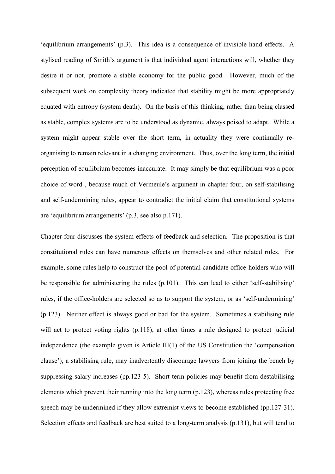'equilibrium arrangements' (p.3). This idea is a consequence of invisible hand effects. A stylised reading of Smith's argument is that individual agent interactions will, whether they desire it or not, promote a stable economy for the public good. However, much of the subsequent work on complexity theory indicated that stability might be more appropriately equated with entropy (system death). On the basis of this thinking, rather than being classed as stable, complex systems are to be understood as dynamic, always poised to adapt. While a system might appear stable over the short term, in actuality they were continually reorganising to remain relevant in a changing environment. Thus, over the long term, the initial perception of equilibrium becomes inaccurate. It may simply be that equilibrium was a poor choice of word , because much of Vermeule's argument in chapter four, on self-stabilising and self-undermining rules, appear to contradict the initial claim that constitutional systems are 'equilibrium arrangements' (p.3, see also p.171).

Chapter four discusses the system effects of feedback and selection. The proposition is that constitutional rules can have numerous effects on themselves and other related rules. For example, some rules help to construct the pool of potential candidate office-holders who will be responsible for administering the rules (p.101). This can lead to either 'self-stabilising' rules, if the office-holders are selected so as to support the system, or as 'self-undermining' (p.123). Neither effect is always good or bad for the system. Sometimes a stabilising rule will act to protect voting rights (p.118), at other times a rule designed to protect judicial independence (the example given is Article III(1) of the US Constitution the 'compensation clause'), a stabilising rule, may inadvertently discourage lawyers from joining the bench by suppressing salary increases (pp.123-5). Short term policies may benefit from destabilising elements which prevent their running into the long term (p.123), whereas rules protecting free speech may be undermined if they allow extremist views to become established (pp.127-31). Selection effects and feedback are best suited to a long-term analysis (p.131), but will tend to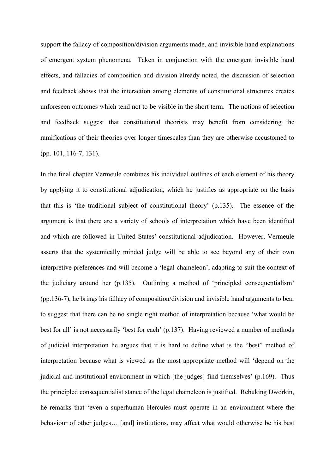support the fallacy of composition/division arguments made, and invisible hand explanations of emergent system phenomena. Taken in conjunction with the emergent invisible hand effects, and fallacies of composition and division already noted, the discussion of selection and feedback shows that the interaction among elements of constitutional structures creates unforeseen outcomes which tend not to be visible in the short term. The notions of selection and feedback suggest that constitutional theorists may benefit from considering the ramifications of their theories over longer timescales than they are otherwise accustomed to (pp. 101, 116-7, 131).

In the final chapter Vermeule combines his individual outlines of each element of his theory by applying it to constitutional adjudication, which he justifies as appropriate on the basis that this is 'the traditional subject of constitutional theory' (p.135). The essence of the argument is that there are a variety of schools of interpretation which have been identified and which are followed in United States' constitutional adjudication. However, Vermeule asserts that the systemically minded judge will be able to see beyond any of their own interpretive preferences and will become a 'legal chameleon', adapting to suit the context of the judiciary around her (p.135). Outlining a method of 'principled consequentialism' (pp.136-7), he brings his fallacy of composition/division and invisible hand arguments to bear to suggest that there can be no single right method of interpretation because 'what would be best for all' is not necessarily 'best for each' (p.137). Having reviewed a number of methods of judicial interpretation he argues that it is hard to define what is the "best" method of interpretation because what is viewed as the most appropriate method will 'depend on the judicial and institutional environment in which [the judges] find themselves' (p.169). Thus the principled consequentialist stance of the legal chameleon is justified. Rebuking Dworkin, he remarks that 'even a superhuman Hercules must operate in an environment where the behaviour of other judges… [and] institutions, may affect what would otherwise be his best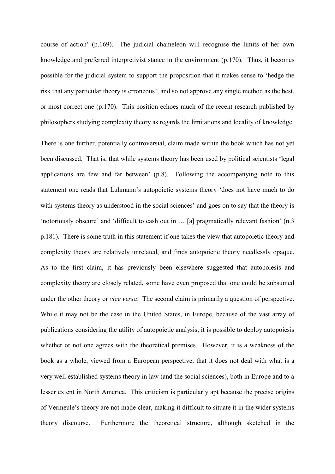course of action' (p.169). The judicial chameleon will recognise the limits of her own knowledge and preferred interpretivist stance in the environment (p.170). Thus, it becomes possible for the judicial system to support the proposition that it makes sense to 'hedge the risk that any particular theory is erroneous', and so not approve any single method as the best, or most correct one (p.170). This position echoes much of the recent research published by philosophers studying complexity theory as regards the limitations and locality of knowledge.

There is one further, potentially controversial, claim made within the book which has not yet been discussed. That is, that while systems theory has been used by political scientists 'legal applications are few and far between' (p.8). Following the accompanying note to this statement one reads that Luhmann's autopoietic systems theory 'does not have much to do with systems theory as understood in the social sciences' and goes on to say that the theory is 'notoriously obscure' and 'difficult to cash out in … [a] pragmatically relevant fashion' (n.3 p.181). There is some truth in this statement if one takes the view that autopoietic theory and complexity theory are relatively unrelated, and finds autopoietic theory needlessly opaque. As to the first claim, it has previously been elsewhere suggested that autopoiesis and complexity theory are closely related, some have even proposed that one could be subsumed under the other theory or *vice versa*. The second claim is primarily a question of perspective. While it may not be the case in the United States, in Europe, because of the vast array of publications considering the utility of autopoietic analysis, it is possible to deploy autopoiesis whether or not one agrees with the theoretical premises. However, it is a weakness of the book as a whole, viewed from a European perspective, that it does not deal with what is a very well established systems theory in law (and the social sciences), both in Europe and to a lesser extent in North America. This criticism is particularly apt because the precise origins of Vermeule's theory are not made clear, making it difficult to situate it in the wider systems theory discourse. Furthermore the theoretical structure, although sketched in the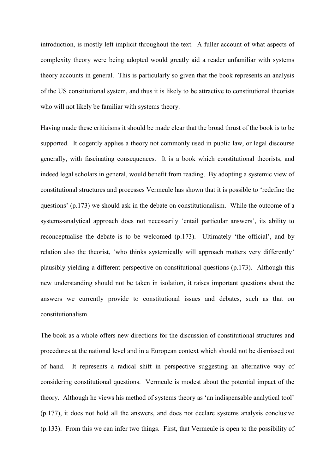introduction, is mostly left implicit throughout the text. A fuller account of what aspects of complexity theory were being adopted would greatly aid a reader unfamiliar with systems theory accounts in general. This is particularly so given that the book represents an analysis of the US constitutional system, and thus it is likely to be attractive to constitutional theorists who will not likely be familiar with systems theory.

Having made these criticisms it should be made clear that the broad thrust of the book is to be supported. It cogently applies a theory not commonly used in public law, or legal discourse generally, with fascinating consequences. It is a book which constitutional theorists, and indeed legal scholars in general, would benefit from reading. By adopting a systemic view of constitutional structures and processes Vermeule has shown that it is possible to 'redefine the questions' (p.173) we should ask in the debate on constitutionalism. While the outcome of a systems-analytical approach does not necessarily 'entail particular answers', its ability to reconceptualise the debate is to be welcomed (p.173). Ultimately 'the official', and by relation also the theorist, 'who thinks systemically will approach matters very differently' plausibly yielding a different perspective on constitutional questions (p.173). Although this new understanding should not be taken in isolation, it raises important questions about the answers we currently provide to constitutional issues and debates, such as that on constitutionalism.

The book as a whole offers new directions for the discussion of constitutional structures and procedures at the national level and in a European context which should not be dismissed out of hand. It represents a radical shift in perspective suggesting an alternative way of considering constitutional questions. Vermeule is modest about the potential impact of the theory. Although he views his method of systems theory as 'an indispensable analytical tool' (p.177), it does not hold all the answers, and does not declare systems analysis conclusive (p.133). From this we can infer two things. First, that Vermeule is open to the possibility of